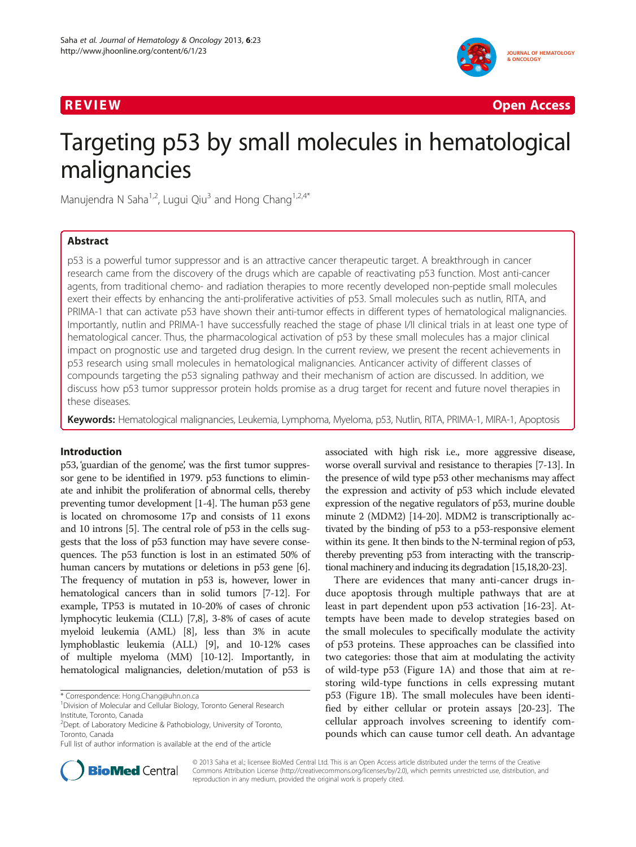

R EVI EW Open Access

# Targeting p53 by small molecules in hematological malignancies

Manujendra N Saha<sup>1,2</sup>, Lugui Qiu<sup>3</sup> and Hong Chang<sup>1,2,4\*</sup>

# Abstract

p53 is a powerful tumor suppressor and is an attractive cancer therapeutic target. A breakthrough in cancer research came from the discovery of the drugs which are capable of reactivating p53 function. Most anti-cancer agents, from traditional chemo- and radiation therapies to more recently developed non-peptide small molecules exert their effects by enhancing the anti-proliferative activities of p53. Small molecules such as nutlin, RITA, and PRIMA-1 that can activate p53 have shown their anti-tumor effects in different types of hematological malignancies. Importantly, nutlin and PRIMA-1 have successfully reached the stage of phase I/II clinical trials in at least one type of hematological cancer. Thus, the pharmacological activation of p53 by these small molecules has a major clinical impact on prognostic use and targeted drug design. In the current review, we present the recent achievements in p53 research using small molecules in hematological malignancies. Anticancer activity of different classes of compounds targeting the p53 signaling pathway and their mechanism of action are discussed. In addition, we discuss how p53 tumor suppressor protein holds promise as a drug target for recent and future novel therapies in these diseases.

Keywords: Hematological malignancies, Leukemia, Lymphoma, Myeloma, p53, Nutlin, RITA, PRIMA-1, MIRA-1, Apoptosis

# Introduction

p53, 'guardian of the genome', was the first tumor suppressor gene to be identified in 1979. p53 functions to eliminate and inhibit the proliferation of abnormal cells, thereby preventing tumor development [\[1](#page-6-0)-[4](#page-6-0)]. The human p53 gene is located on chromosome 17p and consists of 11 exons and 10 introns [[5](#page-6-0)]. The central role of p53 in the cells suggests that the loss of p53 function may have severe consequences. The p53 function is lost in an estimated 50% of human cancers by mutations or deletions in p53 gene [[6](#page-6-0)]. The frequency of mutation in p53 is, however, lower in hematological cancers than in solid tumors [[7-12\]](#page-6-0). For example, TP53 is mutated in 10-20% of cases of chronic lymphocytic leukemia (CLL) [\[7,8\]](#page-6-0), 3-8% of cases of acute myeloid leukemia (AML) [[8](#page-6-0)], less than 3% in acute lymphoblastic leukemia (ALL) [\[9\]](#page-6-0), and 10-12% cases of multiple myeloma (MM) [\[10-12](#page-6-0)]. Importantly, in hematological malignancies, deletion/mutation of p53 is

associated with high risk i.e., more aggressive disease, worse overall survival and resistance to therapies [\[7](#page-6-0)-[13](#page-6-0)]. In the presence of wild type p53 other mechanisms may affect the expression and activity of p53 which include elevated expression of the negative regulators of p53, murine double minute 2 (MDM2) [\[14-20\]](#page-6-0). MDM2 is transcriptionally activated by the binding of p53 to a p53-responsive element within its gene. It then binds to the N-terminal region of p53, thereby preventing p53 from interacting with the transcriptional machinery and inducing its degradation [\[15,18,20-23](#page-6-0)].

There are evidences that many anti-cancer drugs induce apoptosis through multiple pathways that are at least in part dependent upon p53 activation [\[16-23](#page-6-0)]. Attempts have been made to develop strategies based on the small molecules to specifically modulate the activity of p53 proteins. These approaches can be classified into two categories: those that aim at modulating the activity of wild-type p53 (Figure [1](#page-1-0)A) and those that aim at restoring wild-type functions in cells expressing mutant p53 (Figure [1](#page-1-0)B). The small molecules have been identified by either cellular or protein assays [\[20](#page-6-0)-[23](#page-6-0)]. The cellular approach involves screening to identify compounds which can cause tumor cell death. An advantage



© 2013 Saha et al.; licensee BioMed Central Ltd. This is an Open Access article distributed under the terms of the Creative Commons Attribution License [\(http://creativecommons.org/licenses/by/2.0\)](http://creativecommons.org/licenses/by/2.0), which permits unrestricted use, distribution, and reproduction in any medium, provided the original work is properly cited.

<sup>\*</sup> Correspondence: [Hong.Chang@uhn.on.ca](mailto:Hong.Chang@uhn.on.ca) <sup>1</sup>

<sup>&</sup>lt;sup>1</sup> Division of Molecular and Cellular Biology, Toronto General Research Institute, Toronto, Canada

<sup>&</sup>lt;sup>2</sup> Dept. of Laboratory Medicine & Pathobiology, University of Toronto, Toronto, Canada

Full list of author information is available at the end of the article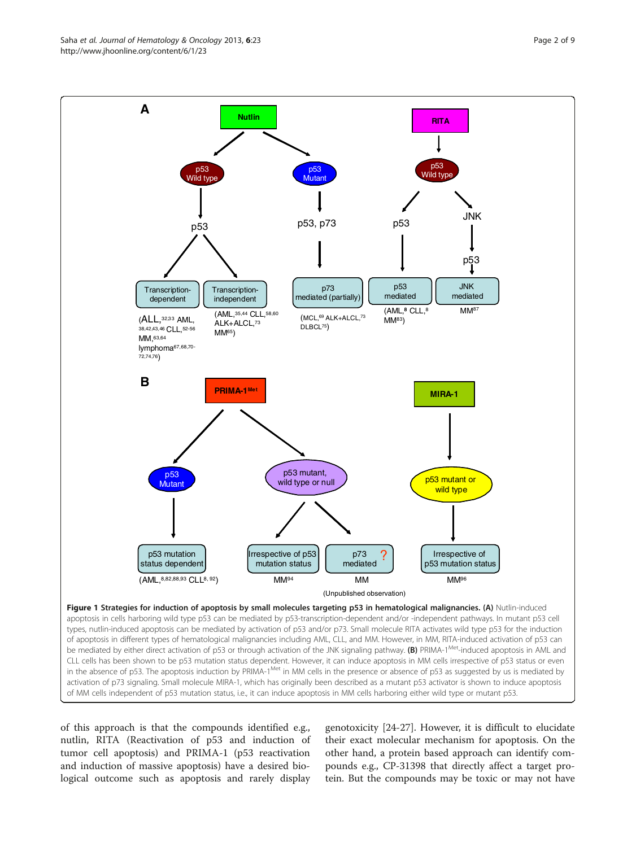of this approach is that the compounds identified e.g., nutlin, RITA (Reactivation of p53 and induction of tumor cell apoptosis) and PRIMA-1 (p53 reactivation and induction of massive apoptosis) have a desired biological outcome such as apoptosis and rarely display

genotoxicity [\[24](#page-6-0)-[27\]](#page-6-0). However, it is difficult to elucidate their exact molecular mechanism for apoptosis. On the other hand, a protein based approach can identify compounds e.g., CP-31398 that directly affect a target protein. But the compounds may be toxic or may not have

<span id="page-1-0"></span>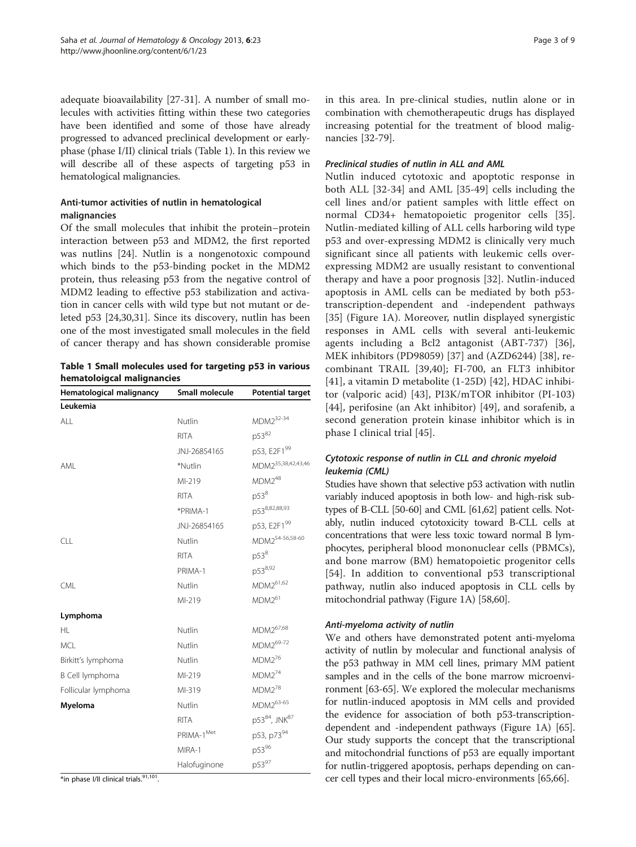adequate bioavailability [\[27-31](#page-6-0)]. A number of small molecules with activities fitting within these two categories have been identified and some of those have already progressed to advanced preclinical development or earlyphase (phase I/II) clinical trials (Table 1). In this review we will describe all of these aspects of targeting p53 in hematological malignancies.

# Anti-tumor activities of nutlin in hematological malignancies

Of the small molecules that inhibit the protein–protein interaction between p53 and MDM2, the first reported was nutlins [\[24](#page-6-0)]. Nutlin is a nongenotoxic compound which binds to the p53-binding pocket in the MDM2 protein, thus releasing p53 from the negative control of MDM2 leading to effective p53 stabilization and activation in cancer cells with wild type but not mutant or deleted p53 [[24](#page-6-0),[30](#page-6-0),[31](#page-6-0)]. Since its discovery, nutlin has been one of the most investigated small molecules in the field of cancer therapy and has shown considerable promise

Table 1 Small molecules used for targeting p53 in various hematoloigcal malignancies

| Hematological malignancy | Small molecule         | <b>Potential target</b>        |
|--------------------------|------------------------|--------------------------------|
| Leukemia                 |                        |                                |
| AI                       | Nutlin                 | MDM2 <sup>32-34</sup>          |
|                          | <b>RITA</b>            | p5382                          |
|                          | JNJ-26854165           | p53, E2F199                    |
| AMI                      | *Nutlin                | MDM2 <sup>35,38,42,43,46</sup> |
|                          | MI-219                 | $MDM2^{48}$                    |
|                          | <b>RITA</b>            | $p53^8$                        |
|                          | *PRIMA-1               | p538,82,88,93                  |
|                          | JNJ-26854165           | p53, E2F199                    |
| CLL                      | Nutlin                 | MDM2 <sup>54-56,58-60</sup>    |
|                          | <b>RITA</b>            | $p53^8$                        |
|                          | PRIMA-1                | p538,92                        |
| CML                      | Nutlin                 | MDM2 <sup>61,62</sup>          |
|                          | MI-219                 | $MDM2^{61}$                    |
| Lymphoma                 |                        |                                |
| HL.                      | Nutlin                 | MDM2 <sup>67,68</sup>          |
| <b>MCL</b>               | Nutlin                 | MDM2 <sup>69-72</sup>          |
| Birkitt's lymphoma       | Nutlin                 | $MDM2^{76}$                    |
| B Cell lymphoma          | MI-219                 | $MDM2^{74}$                    |
| Follicular lymphoma      | MI-319                 | $MDM2^{78}$                    |
| Myeloma                  | Nutlin                 | MDM263-65                      |
|                          | <b>RITA</b>            | p5384, JNK87                   |
|                          | PRIMA-1 <sup>Met</sup> | p53, p7394                     |
|                          | MIRA-1                 | p5396                          |
|                          | Halofuginone           | p5397                          |
|                          |                        |                                |

\*in phase I/II clinical trials.<sup>91,101</sup>.

in this area. In pre-clinical studies, nutlin alone or in combination with chemotherapeutic drugs has displayed increasing potential for the treatment of blood malignancies [\[32](#page-6-0)-[79](#page-8-0)].

# Preclinical studies of nutlin in ALL and AML

Nutlin induced cytotoxic and apoptotic response in both ALL [\[32-34](#page-6-0)] and AML [[35](#page-6-0)[-49](#page-7-0)] cells including the cell lines and/or patient samples with little effect on normal CD34+ hematopoietic progenitor cells [\[35](#page-6-0)]. Nutlin-mediated killing of ALL cells harboring wild type p53 and over-expressing MDM2 is clinically very much significant since all patients with leukemic cells overexpressing MDM2 are usually resistant to conventional therapy and have a poor prognosis [\[32](#page-6-0)]. Nutlin-induced apoptosis in AML cells can be mediated by both p53 transcription-dependent and -independent pathways [[35\]](#page-6-0) (Figure [1A](#page-1-0)). Moreover, nutlin displayed synergistic responses in AML cells with several anti-leukemic agents including a Bcl2 antagonist (ABT-737) [\[36](#page-6-0)], MEK inhibitors (PD98059) [[37\]](#page-6-0) and (AZD6244) [[38\]](#page-6-0), recombinant TRAIL [\[39](#page-7-0),[40](#page-7-0)]; FI-700, an FLT3 inhibitor [[41\]](#page-7-0), a vitamin D metabolite (1-25D) [[42\]](#page-7-0), HDAC inhibitor (valporic acid) [\[43](#page-7-0)], PI3K/mTOR inhibitor (PI-103) [[44\]](#page-7-0), perifosine (an Akt inhibitor) [[49\]](#page-7-0), and sorafenib, a second generation protein kinase inhibitor which is in phase I clinical trial [[45\]](#page-7-0).

# Cytotoxic response of nutlin in CLL and chronic myeloid leukemia (CML)

Studies have shown that selective p53 activation with nutlin variably induced apoptosis in both low- and high-risk subtypes of B-CLL [\[50](#page-7-0)-[60](#page-7-0)] and CML [\[61,62\]](#page-7-0) patient cells. Notably, nutlin induced cytotoxicity toward B-CLL cells at concentrations that were less toxic toward normal B lymphocytes, peripheral blood mononuclear cells (PBMCs), and bone marrow (BM) hematopoietic progenitor cells [[54](#page-7-0)]. In addition to conventional p53 transcriptional pathway, nutlin also induced apoptosis in CLL cells by mitochondrial pathway (Figure [1](#page-1-0)A) [\[58,60](#page-7-0)].

#### Anti-myeloma activity of nutlin

We and others have demonstrated potent anti-myeloma activity of nutlin by molecular and functional analysis of the p53 pathway in MM cell lines, primary MM patient samples and in the cells of the bone marrow microenvironment [\[63](#page-7-0)-[65](#page-7-0)]. We explored the molecular mechanisms for nutlin-induced apoptosis in MM cells and provided the evidence for association of both p53-transcriptiondependent and -independent pathways (Figure [1](#page-1-0)A) [[65](#page-7-0)]. Our study supports the concept that the transcriptional and mitochondrial functions of p53 are equally important for nutlin-triggered apoptosis, perhaps depending on cancer cell types and their local micro-environments [[65,66\]](#page-7-0).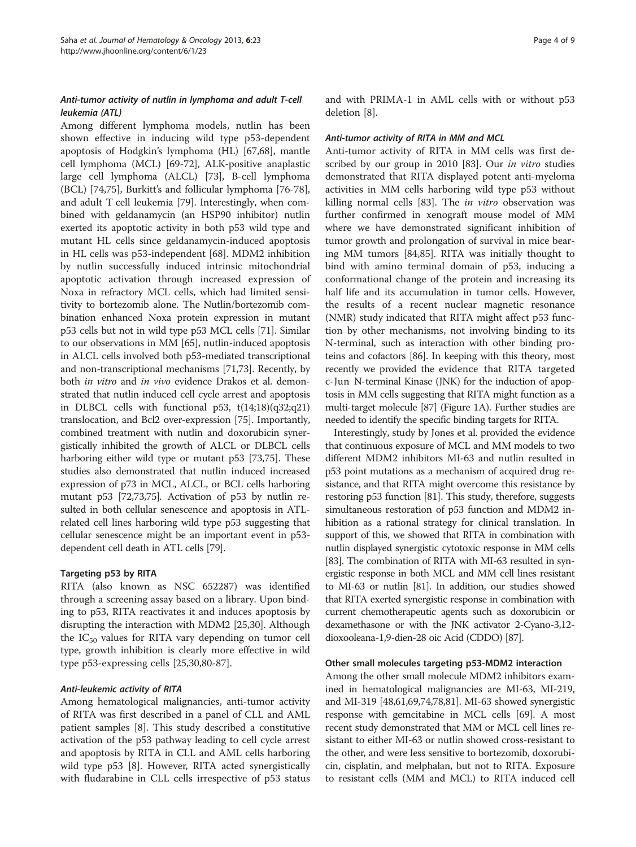# Anti-tumor activity of nutlin in lymphoma and adult T-cell leukemia (ATL)

Among different lymphoma models, nutlin has been shown effective in inducing wild type p53-dependent apoptosis of Hodgkin's lymphoma (HL) [\[67,68\]](#page-7-0), mantle cell lymphoma (MCL) [[69-72\]](#page-7-0), ALK-positive anaplastic large cell lymphoma (ALCL) [\[73\]](#page-7-0), B-cell lymphoma (BCL) [[74](#page-7-0),[75](#page-7-0)], Burkitt's and follicular lymphoma [\[76-78](#page-8-0)], and adult T cell leukemia [[79\]](#page-8-0). Interestingly, when combined with geldanamycin (an HSP90 inhibitor) nutlin exerted its apoptotic activity in both p53 wild type and mutant HL cells since geldanamycin-induced apoptosis in HL cells was p53-independent [\[68\]](#page-7-0). MDM2 inhibition by nutlin successfully induced intrinsic mitochondrial apoptotic activation through increased expression of Noxa in refractory MCL cells, which had limited sensitivity to bortezomib alone. The Nutlin/bortezomib combination enhanced Noxa protein expression in mutant p53 cells but not in wild type p53 MCL cells [\[71\]](#page-7-0). Similar to our observations in MM [[65](#page-7-0)], nutlin-induced apoptosis in ALCL cells involved both p53-mediated transcriptional and non-transcriptional mechanisms [[71,73](#page-7-0)]. Recently, by both *in vitro* and *in vivo* evidence Drakos et al. demonstrated that nutlin induced cell cycle arrest and apoptosis in DLBCL cells with functional p53, t(14;18)(q32;q21) translocation, and Bcl2 over-expression [[75](#page-7-0)]. Importantly, combined treatment with nutlin and doxorubicin synergistically inhibited the growth of ALCL or DLBCL cells harboring either wild type or mutant p53 [\[73,75](#page-7-0)]. These studies also demonstrated that nutlin induced increased expression of p73 in MCL, ALCL, or BCL cells harboring mutant p53 [[72,73,75\]](#page-7-0). Activation of p53 by nutlin resulted in both cellular senescence and apoptosis in ATLrelated cell lines harboring wild type p53 suggesting that cellular senescence might be an important event in p53 dependent cell death in ATL cells [\[79](#page-8-0)].

# Targeting p53 by RITA

RITA (also known as NSC 652287) was identified through a screening assay based on a library. Upon binding to p53, RITA reactivates it and induces apoptosis by disrupting the interaction with MDM2 [[25,30\]](#page-6-0). Although the  $IC_{50}$  values for RITA vary depending on tumor cell type, growth inhibition is clearly more effective in wild type p53-expressing cells [[25,30,](#page-6-0)[80-87](#page-8-0)].

# Anti-leukemic activity of RITA

Among hematological malignancies, anti-tumor activity of RITA was first described in a panel of CLL and AML patient samples [[8\]](#page-6-0). This study described a constitutive activation of the p53 pathway leading to cell cycle arrest and apoptosis by RITA in CLL and AML cells harboring wild type p53 [\[8](#page-6-0)]. However, RITA acted synergistically with fludarabine in CLL cells irrespective of p53 status

and with PRIMA-1 in AML cells with or without p53 deletion [[8\]](#page-6-0).

#### Anti-tumor activity of RITA in MM and MCL

Anti-tumor activity of RITA in MM cells was first de-scribed by our group in 2010 [[83\]](#page-8-0). Our *in vitro* studies demonstrated that RITA displayed potent anti-myeloma activities in MM cells harboring wild type p53 without killing normal cells [\[83](#page-8-0)]. The *in vitro* observation was further confirmed in xenograft mouse model of MM where we have demonstrated significant inhibition of tumor growth and prolongation of survival in mice bearing MM tumors [\[84,85](#page-8-0)]. RITA was initially thought to bind with amino terminal domain of p53, inducing a conformational change of the protein and increasing its half life and its accumulation in tumor cells. However, the results of a recent nuclear magnetic resonance (NMR) study indicated that RITA might affect p53 function by other mechanisms, not involving binding to its N-terminal, such as interaction with other binding proteins and cofactors [\[86\]](#page-8-0). In keeping with this theory, most recently we provided the evidence that RITA targeted c-Jun N-terminal Kinase (JNK) for the induction of apoptosis in MM cells suggesting that RITA might function as a multi-target molecule [\[87](#page-8-0)] (Figure [1](#page-1-0)A). Further studies are needed to identify the specific binding targets for RITA.

Interestingly, study by Jones et al. provided the evidence that continuous exposure of MCL and MM models to two different MDM2 inhibitors MI-63 and nutlin resulted in p53 point mutations as a mechanism of acquired drug resistance, and that RITA might overcome this resistance by restoring p53 function [\[81\]](#page-8-0). This study, therefore, suggests simultaneous restoration of p53 function and MDM2 inhibition as a rational strategy for clinical translation. In support of this, we showed that RITA in combination with nutlin displayed synergistic cytotoxic response in MM cells [[83](#page-8-0)]. The combination of RITA with MI-63 resulted in synergistic response in both MCL and MM cell lines resistant to MI-63 or nutlin [[81](#page-8-0)]. In addition, our studies showed that RITA exerted synergistic response in combination with current chemotherapeutic agents such as doxorubicin or dexamethasone or with the JNK activator 2-Cyano-3,12 dioxooleana-1,9-dien-28 oic Acid (CDDO) [\[87\]](#page-8-0).

#### Other small molecules targeting p53-MDM2 interaction

Among the other small molecule MDM2 inhibitors examined in hematological malignancies are MI-63, MI-219, and MI-319 [[48,61,69,74,](#page-7-0)[78,81\]](#page-8-0). MI-63 showed synergistic response with gemcitabine in MCL cells [\[69](#page-7-0)]. A most recent study demonstrated that MM or MCL cell lines resistant to either MI-63 or nutlin showed cross-resistant to the other, and were less sensitive to bortezomib, doxorubicin, cisplatin, and melphalan, but not to RITA. Exposure to resistant cells (MM and MCL) to RITA induced cell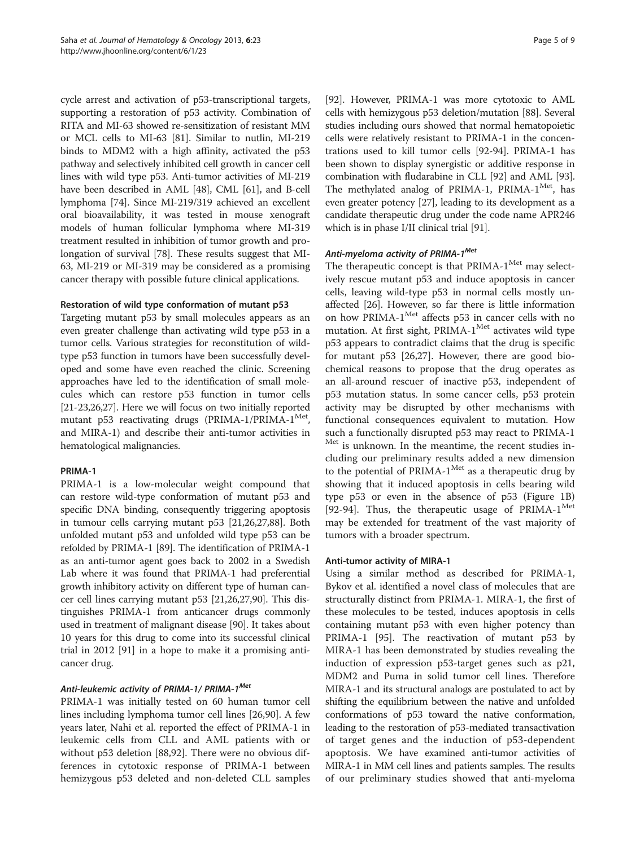cycle arrest and activation of p53-transcriptional targets, supporting a restoration of p53 activity. Combination of RITA and MI-63 showed re-sensitization of resistant MM or MCL cells to MI-63 [\[81\]](#page-8-0). Similar to nutlin, MI-219 binds to MDM2 with a high affinity, activated the p53 pathway and selectively inhibited cell growth in cancer cell lines with wild type p53. Anti-tumor activities of MI-219 have been described in AML [[48](#page-7-0)], CML [\[61](#page-7-0)], and B-cell lymphoma [\[74](#page-7-0)]. Since MI-219/319 achieved an excellent oral bioavailability, it was tested in mouse xenograft models of human follicular lymphoma where MI-319 treatment resulted in inhibition of tumor growth and prolongation of survival [[78\]](#page-8-0). These results suggest that MI-63, MI-219 or MI-319 may be considered as a promising cancer therapy with possible future clinical applications.

#### Restoration of wild type conformation of mutant p53

Targeting mutant p53 by small molecules appears as an even greater challenge than activating wild type p53 in a tumor cells. Various strategies for reconstitution of wildtype p53 function in tumors have been successfully developed and some have even reached the clinic. Screening approaches have led to the identification of small molecules which can restore p53 function in tumor cells [[21](#page-6-0)-[23,26,27\]](#page-6-0). Here we will focus on two initially reported mutant p53 reactivating drugs (PRIMA-1/PRIMA-1<sup>Met</sup>, and MIRA-1) and describe their anti-tumor activities in hematological malignancies.

#### PRIMA-1

PRIMA-1 is a low-molecular weight compound that can restore wild-type conformation of mutant p53 and specific DNA binding, consequently triggering apoptosis in tumour cells carrying mutant p53 [\[21,26,27](#page-6-0)[,88\]](#page-8-0). Both unfolded mutant p53 and unfolded wild type p53 can be refolded by PRIMA-1 [\[89\]](#page-8-0). The identification of PRIMA-1 as an anti-tumor agent goes back to 2002 in a Swedish Lab where it was found that PRIMA-1 had preferential growth inhibitory activity on different type of human cancer cell lines carrying mutant p53 [\[21,26,27](#page-6-0)[,90\]](#page-8-0). This distinguishes PRIMA-1 from anticancer drugs commonly used in treatment of malignant disease [\[90\]](#page-8-0). It takes about 10 years for this drug to come into its successful clinical trial in 2012 [[91\]](#page-8-0) in a hope to make it a promising anticancer drug.

# Anti-leukemic activity of PRIMA-1/ PRIMA-1<sup>Met</sup>

PRIMA-1 was initially tested on 60 human tumor cell lines including lymphoma tumor cell lines [\[26](#page-6-0)[,90](#page-8-0)]. A few years later, Nahi et al. reported the effect of PRIMA-1 in leukemic cells from CLL and AML patients with or without p53 deletion [\[88,92](#page-8-0)]. There were no obvious differences in cytotoxic response of PRIMA-1 between hemizygous p53 deleted and non-deleted CLL samples

[[92\]](#page-8-0). However, PRIMA-1 was more cytotoxic to AML cells with hemizygous p53 deletion/mutation [\[88\]](#page-8-0). Several studies including ours showed that normal hematopoietic cells were relatively resistant to PRIMA-1 in the concentrations used to kill tumor cells [[92](#page-8-0)-[94](#page-8-0)]. PRIMA-1 has been shown to display synergistic or additive response in combination with fludarabine in CLL [\[92\]](#page-8-0) and AML [[93](#page-8-0)]. The methylated analog of PRIMA-1, PRIMA- $1^{Met}$ , has even greater potency [[27\]](#page-6-0), leading to its development as a candidate therapeutic drug under the code name APR246 which is in phase I/II clinical trial [\[91\]](#page-8-0).

# Anti-myeloma activity of PRIMA-1<sup>Met</sup>

The therapeutic concept is that PRIMA-1<sup>Met</sup> may selectively rescue mutant p53 and induce apoptosis in cancer cells, leaving wild-type p53 in normal cells mostly unaffected [[26](#page-6-0)]. However, so far there is little information on how PRIMA- $1^{Met}$  affects p53 in cancer cells with no mutation. At first sight, PRIMA-1<sup>Met</sup> activates wild type p53 appears to contradict claims that the drug is specific for mutant p53 [[26,27\]](#page-6-0). However, there are good biochemical reasons to propose that the drug operates as an all-around rescuer of inactive p53, independent of p53 mutation status. In some cancer cells, p53 protein activity may be disrupted by other mechanisms with functional consequences equivalent to mutation. How such a functionally disrupted p53 may react to PRIMA-1 Met is unknown. In the meantime, the recent studies including our preliminary results added a new dimension to the potential of PRIMA- $1^{Met}$  as a therapeutic drug by showing that it induced apoptosis in cells bearing wild type p53 or even in the absence of p53 (Figure [1B](#page-1-0)) [[92-94](#page-8-0)]. Thus, the therapeutic usage of PRIMA- $1^{\text{Met}}$ may be extended for treatment of the vast majority of tumors with a broader spectrum.

# Anti-tumor activity of MIRA-1

Using a similar method as described for PRIMA-1, Bykov et al. identified a novel class of molecules that are structurally distinct from PRIMA-1. MIRA-1, the first of these molecules to be tested, induces apoptosis in cells containing mutant p53 with even higher potency than PRIMA-1 [[95](#page-8-0)]. The reactivation of mutant p53 by MIRA-1 has been demonstrated by studies revealing the induction of expression p53-target genes such as p21, MDM2 and Puma in solid tumor cell lines. Therefore MIRA-1 and its structural analogs are postulated to act by shifting the equilibrium between the native and unfolded conformations of p53 toward the native conformation, leading to the restoration of p53-mediated transactivation of target genes and the induction of p53-dependent apoptosis. We have examined anti-tumor activities of MIRA-1 in MM cell lines and patients samples. The results of our preliminary studies showed that anti-myeloma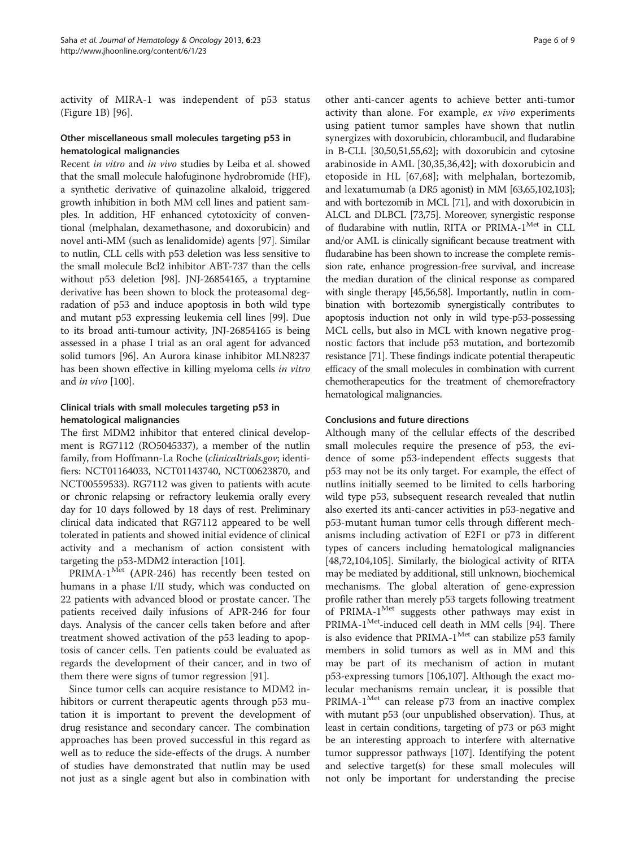activity of MIRA-1 was independent of p53 status (Figure [1B](#page-1-0)) [[96\]](#page-8-0).

# Other miscellaneous small molecules targeting p53 in hematological malignancies

Recent in vitro and in vivo studies by Leiba et al. showed that the small molecule halofuginone hydrobromide (HF), a synthetic derivative of quinazoline alkaloid, triggered growth inhibition in both MM cell lines and patient samples. In addition, HF enhanced cytotoxicity of conventional (melphalan, dexamethasone, and doxorubicin) and novel anti-MM (such as lenalidomide) agents [[97](#page-8-0)]. Similar to nutlin, CLL cells with p53 deletion was less sensitive to the small molecule Bcl2 inhibitor ABT-737 than the cells without p53 deletion [[98](#page-8-0)]. JNJ-26854165, a tryptamine derivative has been shown to block the proteasomal degradation of p53 and induce apoptosis in both wild type and mutant p53 expressing leukemia cell lines [\[99\]](#page-8-0). Due to its broad anti-tumour activity, JNJ-26854165 is being assessed in a phase I trial as an oral agent for advanced solid tumors [\[96\]](#page-8-0). An Aurora kinase inhibitor MLN8237 has been shown effective in killing myeloma cells in vitro and in vivo [\[100\]](#page-8-0).

# Clinical trials with small molecules targeting p53 in hematological malignancies

The first MDM2 inhibitor that entered clinical development is RG7112 (RO5045337), a member of the nutlin family, from Hoffmann-La Roche (clinicaltrials.gov; identifiers: NCT01164033, NCT01143740, NCT00623870, and NCT00559533). RG7112 was given to patients with acute or chronic relapsing or refractory leukemia orally every day for 10 days followed by 18 days of rest. Preliminary clinical data indicated that RG7112 appeared to be well tolerated in patients and showed initial evidence of clinical activity and a mechanism of action consistent with targeting the p53-MDM2 interaction [[101](#page-8-0)].

PRIMA-1<sup>Met</sup> (APR-246) has recently been tested on humans in a phase I/II study, which was conducted on 22 patients with advanced blood or prostate cancer. The patients received daily infusions of APR-246 for four days. Analysis of the cancer cells taken before and after treatment showed activation of the p53 leading to apoptosis of cancer cells. Ten patients could be evaluated as regards the development of their cancer, and in two of them there were signs of tumor regression [[91\]](#page-8-0).

Since tumor cells can acquire resistance to MDM2 inhibitors or current therapeutic agents through p53 mutation it is important to prevent the development of drug resistance and secondary cancer. The combination approaches has been proved successful in this regard as well as to reduce the side-effects of the drugs. A number of studies have demonstrated that nutlin may be used not just as a single agent but also in combination with

other anti-cancer agents to achieve better anti-tumor activity than alone. For example, ex vivo experiments using patient tumor samples have shown that nutlin synergizes with doxorubicin, chlorambucil, and fludarabine in B-CLL [\[30,](#page-6-0)[50,51,55,62](#page-7-0)]; with doxorubicin and cytosine arabinoside in AML [\[30,35](#page-6-0),[36,](#page-6-0)[42\]](#page-7-0); with doxorubicin and etoposide in HL [\[67,68](#page-7-0)]; with melphalan, bortezomib, and lexatumumab (a DR5 agonist) in MM [[63,65](#page-7-0)[,102,103](#page-8-0)]; and with bortezomib in MCL [\[71\]](#page-7-0), and with doxorubicin in ALCL and DLBCL [\[73,75\]](#page-7-0). Moreover, synergistic response of fludarabine with nutlin, RITA or PRIMA-1<sup>Met</sup> in CLL and/or AML is clinically significant because treatment with fludarabine has been shown to increase the complete remission rate, enhance progression-free survival, and increase the median duration of the clinical response as compared with single therapy [\[45,56,58](#page-7-0)]. Importantly, nutlin in combination with bortezomib synergistically contributes to apoptosis induction not only in wild type-p53-possessing MCL cells, but also in MCL with known negative prognostic factors that include p53 mutation, and bortezomib resistance [\[71\]](#page-7-0). These findings indicate potential therapeutic efficacy of the small molecules in combination with current chemotherapeutics for the treatment of chemorefractory hematological malignancies.

# Conclusions and future directions

Although many of the cellular effects of the described small molecules require the presence of p53, the evidence of some p53-independent effects suggests that p53 may not be its only target. For example, the effect of nutlins initially seemed to be limited to cells harboring wild type p53, subsequent research revealed that nutlin also exerted its anti-cancer activities in p53-negative and p53-mutant human tumor cells through different mechanisms including activation of E2F1 or p73 in different types of cancers including hematological malignancies [[48,72,](#page-7-0)[104,105](#page-8-0)]. Similarly, the biological activity of RITA may be mediated by additional, still unknown, biochemical mechanisms. The global alteration of gene-expression profile rather than merely p53 targets following treatment of PRIMA-1<sup>Met</sup> suggests other pathways may exist in  $PRIMA-1<sup>Met</sup>-induced cell death in MM cells [94]. There$  $PRIMA-1<sup>Met</sup>-induced cell death in MM cells [94]. There$  $PRIMA-1<sup>Met</sup>-induced cell death in MM cells [94]. There$ is also evidence that PRIMA- $1^{\text{Met}}$  can stabilize p53 family members in solid tumors as well as in MM and this may be part of its mechanism of action in mutant p53-expressing tumors [[106,107\]](#page-8-0). Although the exact molecular mechanisms remain unclear, it is possible that PRIMA- $1^{\text{Met}}$  can release p73 from an inactive complex with mutant p53 (our unpublished observation). Thus, at least in certain conditions, targeting of p73 or p63 might be an interesting approach to interfere with alternative tumor suppressor pathways [\[107](#page-8-0)]. Identifying the potent and selective target(s) for these small molecules will not only be important for understanding the precise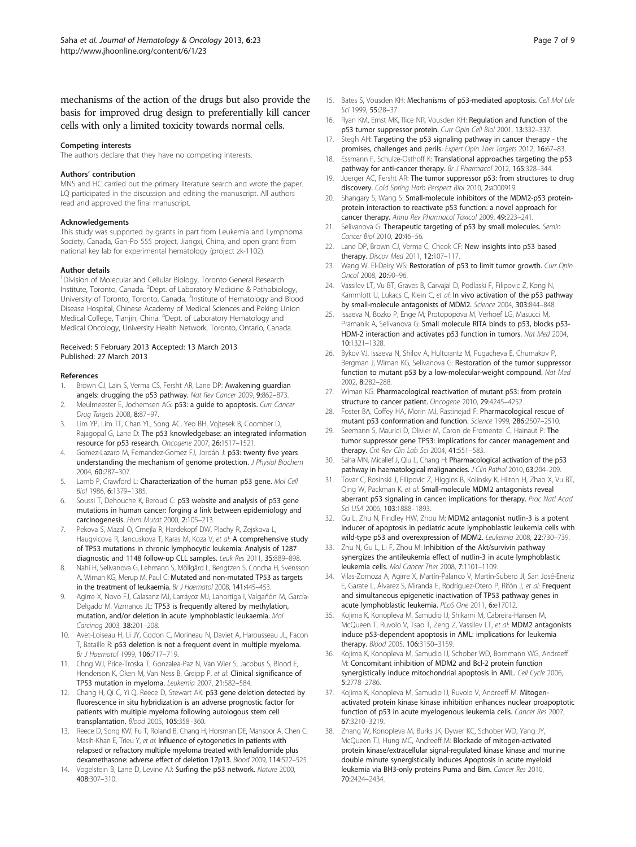<span id="page-6-0"></span>mechanisms of the action of the drugs but also provide the basis for improved drug design to preferentially kill cancer cells with only a limited toxicity towards normal cells.

#### Competing interests

The authors declare that they have no competing interests.

#### Authors' contribution

MNS and HC carried out the primary literature search and wrote the paper. LQ participated in the discussion and editing the manuscript. All authors read and approved the final manuscript.

#### Acknowledgements

This study was supported by grants in part from Leukemia and Lymphoma Society, Canada, Gan-Po 555 project, Jiangxi, China, and open grant from national key lab for experimental hematology (project zk-1102).

#### Author details

<sup>1</sup> Division of Molecular and Cellular Biology, Toronto General Research Institute, Toronto, Canada. <sup>2</sup>Dept. of Laboratory Medicine & Pathobiology, University of Toronto, Toronto, Canada. <sup>3</sup>Institute of Hematology and Blood Disease Hospital, Chinese Academy of Medical Sciences and Peking Union Medical College, Tianjin, China. <sup>4</sup>Dept. of Laboratory Hematology and Medical Oncology, University Health Network, Toronto, Ontario, Canada.

#### Received: 5 February 2013 Accepted: 13 March 2013 Published: 27 March 2013

#### References

- 1. Brown CJ, Lain S, Verma CS, Fersht AR, Lane DP: Awakening guardian angels: drugging the p53 pathway. Nat Rev Cancer 2009, 9:862–873. 2. Meulmeester E, Jochemsen AG: p53: a guide to apoptosis. Curr Cancer
- Drug Targets 2008, 8:87–97. Lim YP, Lim TT, Chan YL, Song AC, Yeo BH, Vojtesek B, Coomber D,
- Rajagopal G, Lane D: The p53 knowledgebase: an integrated information resource for p53 research. Oncogene 2007, 26:1517–1521.
- 4. Gomez-Lazaro M, Fernandez-Gomez FJ, Jordán J: p53: twenty five years understanding the mechanism of genome protection. J Physiol Biochem 2004, 60:287–307.
- Lamb P, Crawford L: Characterization of the human p53 gene. Mol Cell Biol 1986, 6:1379–1385.
- 6. Soussi T, Dehouche K, Beroud C: p53 website and analysis of p53 gene mutations in human cancer: forging a link between epidemiology and carcinogenesis. Hum Mutat 2000, 2:105–213.
- 7. Pekova S, Mazal O, Cmejla R, Hardekopf DW, Plachy R, Zejskova L, Haugvicova R, Jancuskova T, Karas M, Koza V, et al: A comprehensive study of TP53 mutations in chronic lymphocytic leukemia: Analysis of 1287 diagnostic and 1148 follow-up CLL samples. Leuk Res 2011, 35:889–898.
- 8. Nahi H, Selivanova G, Lehmann S, Möllgård L, Bengtzen S, Concha H, Svensson A, Wiman KG, Merup M, Paul C: Mutated and non-mutated TP53 as targets in the treatment of leukaemia. Br J Haematol 2008, 141:445–453.
- Agirre X, Novo FJ, Calasanz MJ, Larráyoz MJ, Lahortiga I, Valgañón M, García-Delgado M, Vizmanos JL: TP53 is frequently altered by methylation, mutation, and/or deletion in acute lymphoblastic leukaemia. Mol Carcinog 2003, 38:201–208.
- 10. Avet-Loiseau H, Li JY, Godon C, Morineau N, Daviet A, Harousseau JL, Facon T, Bataille R: p53 deletion is not a frequent event in multiple myeloma. Br J Haematol 1999, 106:717–719.
- 11. Chng WJ, Price-Troska T, Gonzalea-Paz N, Van Wier S, Jacobus S, Blood E, Henderson K, Oken M, Van Ness B, Greipp P, et al: Clinical significance of TP53 mutation in myeloma. Leukemia 2007, 21:582–584.
- 12. Chang H, Qi C, Yi Q, Reece D, Stewart AK: p53 gene deletion detected by fluorescence in situ hybridization is an adverse prognostic factor for patients with multiple myeloma following autologous stem cell transplantation. Blood 2005, 105:358–360.
- 13. Reece D, Song KW, Fu T, Roland B, Chang H, Horsman DE, Mansoor A, Chen C, Masih-Khan E, Trieu Y, et al: Influence of cytogenetics in patients with relapsed or refractory multiple myeloma treated with lenalidomide plus dexamethasone: adverse effect of deletion 17p13. Blood 2009, 114:522–525.
- 14. Vogelstein B, Lane D, Levine AJ: Surfing the p53 network. Nature 2000, 408:307–310.
- 15. Bates S, Vousden KH: Mechanisms of p53-mediated apoptosis. Cell Mol Life Sci 1999, 55:28-37.
- 16. Ryan KM, Ernst MK, Rice NR, Vousden KH: Regulation and function of the p53 tumor suppressor protein. Curr Opin Cell Biol 2001, 13:332–337.
- 17. Stegh AH: Targeting the p53 signaling pathway in cancer therapy the promises, challenges and perils. Expert Opin Ther Targets 2012, 16:67–83.
- 18. Essmann F, Schulze-Osthoff K: Translational approaches targeting the p53 pathway for anti-cancer therapy. Br J Pharmacol 2012, 165:328-344.
- 19. Joerger AC, Fersht AR: The tumor suppressor p53: from structures to drug discovery. Cold Spring Harb Perspect Biol 2010, 2:a000919.
- 20. Shangary S, Wang S: Small-molecule inhibitors of the MDM2-p53 proteinprotein interaction to reactivate p53 function: a novel approach for cancer therapy. Annu Rev Pharmacol Toxicol 2009, 49:223–241.
- 21. Selivanova G: Therapeutic targeting of p53 by small molecules. Semin Cancer Biol 2010, 20:46-56.
- 22. Lane DP, Brown CJ, Verma C, Cheok CF: New insights into p53 based therapy. Discov Med 2011, 12:107–117.
- 23. Wang W, El-Deiry WS: Restoration of p53 to limit tumor growth. Curr Opin Oncol 2008, 20:90–96.
- 24. Vassilev LT, Vu BT, Graves B, Carvajal D, Podlaski F, Filipovic Z, Kong N, Kammlott U, Lukacs C, Klein C, et al: In vivo activation of the p53 pathway by small-molecule antagonists of MDM2. Science 2004, 303:844–848.
- 25. Issaeva N, Bozko P, Enge M, Protopopova M, Verhoef LG, Masucci M, Pramanik A, Selivanova G: Small molecule RITA binds to p53, blocks p53- HDM-2 interaction and activates p53 function in tumors. Nat Med 2004, 10:1321–1328.
- 26. Bykov VJ, Issaeva N, Shilov A, Hultcrantz M, Pugacheva E, Chumakov P, Bergman J, Wiman KG, Selivanova G: Restoration of the tumor suppressor function to mutant p53 by a low-molecular-weight compound. Nat Med 2002, 8:282–288.
- 27. Wiman KG: Pharmacological reactivation of mutant p53: from protein structure to cancer patient. Oncogene 2010, 29:4245–4252.
- 28. Foster BA, Coffey HA, Morin MJ, Rastinejad F: Pharmacological rescue of mutant p53 conformation and function. Science 1999, 286:2507–2510.
- 29. Seemann S, Maurici D, Olivier M, Caron de Fromentel C, Hainaut P: The tumor suppressor gene TP53: implications for cancer management and therapy. Crit Rev Clin Lab Sci 2004, 41:551-583.
- 30. Saha MN, Micallef J, Qiu L, Chang H: Pharmacological activation of the p53 pathway in haematological malignancies. J Clin Pathol 2010, 63:204-209.
- 31. Tovar C, Rosinski J, Filipovic Z, Higgins B, Kolinsky K, Hilton H, Zhao X, Vu BT, Qing W, Packman K, et al: Small-molecule MDM2 antagonists reveal aberrant p53 signaling in cancer: implications for therapy. Proc Natl Acad Sci USA 2006, 103:1888–1893.
- 32. Gu L, Zhu N, Findley HW, Zhou M: MDM2 antagonist nutlin-3 is a potent inducer of apoptosis in pediatric acute lymphoblastic leukemia cells with wild-type p53 and overexpression of MDM2. Leukemia 2008, 22:730-739.
- 33. Zhu N, Gu L, Li F, Zhou M: Inhibition of the Akt/survivin pathway synergizes the antileukemia effect of nutlin-3 in acute lymphoblastic leukemia cells. Mol Cancer Ther 2008, 7:1101–1109.
- 34. Vilas-Zornoza A, Agirre X, Martín-Palanco V, Martín-Subero JI, San José-Eneriz E, Garate L, Álvarez S, Miranda E, Rodríguez-Otero P, Rifón J, et al: Frequent and simultaneous epigenetic inactivation of TP53 pathway genes in acute lymphoblastic leukemia. PLoS One 2011, 6:e17012.
- 35. Kojima K, Konopleva M, Samudio IJ, Shikami M, Cabreira-Hansen M, McQueen T, Ruvolo V, Tsao T, Zeng Z, Vassilev LT, et al: MDM2 antagonists induce p53-dependent apoptosis in AML: implications for leukemia therapy. Blood 2005, 106:3150–3159.
- 36. Kojima K, Konopleva M, Samudio IJ, Schober WD, Bornmann WG, Andreeff M: Concomitant inhibition of MDM2 and Bcl-2 protein function synergistically induce mitochondrial apoptosis in AML. Cell Cycle 2006, 5:2778–2786.
- 37. Kojima K, Konopleva M, Samudio IJ, Ruvolo V, Andreeff M: Mitogenactivated protein kinase kinase inhibition enhances nuclear proapoptotic function of p53 in acute myelogenous leukemia cells. Cancer Res 2007, 67:3210–3219.
- 38. Zhang W, Konopleva M, Burks JK, Dywer KC, Schober WD, Yang JY, McQueen TJ, Hung MC, Andreeff M: Blockade of mitogen-activated protein kinase/extracellular signal-regulated kinase kinase and murine double minute synergistically induces Apoptosis in acute myeloid leukemia via BH3-only proteins Puma and Bim. Cancer Res 2010, 70:2424–2434.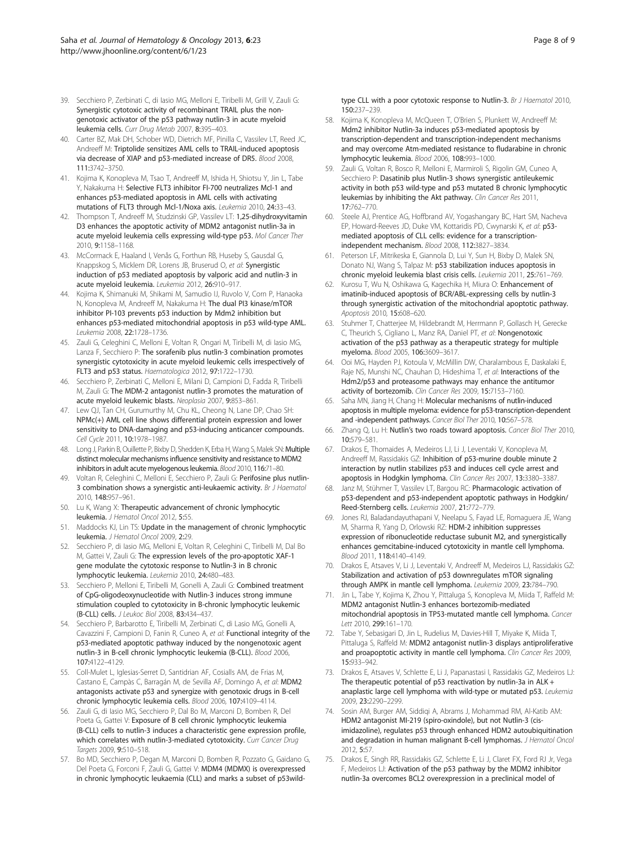- <span id="page-7-0"></span>39. Secchiero P, Zerbinati C, di Iasio MG, Melloni E, Tiribelli M, Grill V, Zauli G: Synergistic cytotoxic activity of recombinant TRAIL plus the nongenotoxic activator of the p53 pathway nutlin-3 in acute myeloid leukemia cells. Curr Drug Metab 2007, 8:395–403.
- 40. Carter BZ, Mak DH, Schober WD, Dietrich MF, Pinilla C, Vassilev LT, Reed JC, Andreeff M: Triptolide sensitizes AML cells to TRAIL-induced apoptosis via decrease of XIAP and p53-mediated increase of DR5. Blood 2008, 111:3742–3750.
- 41. Kojima K, Konopleva M, Tsao T, Andreeff M, Ishida H, Shiotsu Y, Jin L, Tabe Y, Nakakuma H: Selective FLT3 inhibitor FI-700 neutralizes Mcl-1 and enhances p53-mediated apoptosis in AML cells with activating mutations of FLT3 through Mcl-1/Noxa axis. Leukemia 2010, 24:33–43.
- 42. Thompson T, Andreeff M, Studzinski GP, Vassilev LT: 1,25-dihydroxyvitamin D3 enhances the apoptotic activity of MDM2 antagonist nutlin-3a in acute myeloid leukemia cells expressing wild-type p53. Mol Cancer Ther 2010, 9:1158–1168.
- 43. McCormack E, Haaland I, Venås G, Forthun RB, Huseby S, Gausdal G, Knappskog S, Micklem DR, Lorens JB, Bruserud O, et al: Synergistic induction of p53 mediated apoptosis by valporic acid and nutlin-3 in acute myeloid leukemia. Leukemia 2012, 26:910–917.
- 44. Kojima K, Shimanuki M, Shikami M, Samudio IJ, Ruvolo V, Corn P, Hanaoka N, Konopleva M, Andreeff M, Nakakuma H: The dual PI3 kinase/mTOR inhibitor PI-103 prevents p53 induction by Mdm2 inhibition but enhances p53-mediated mitochondrial apoptosis in p53 wild-type AML. Leukemia 2008, 22:1728–1736.
- 45. Zauli G, Celeghini C, Melloni E, Voltan R, Ongari M, Tiribelli M, di Iasio MG, Lanza F, Secchiero P: The sorafenib plus nutlin-3 combination promotes synergistic cytotoxicity in acute myeloid leukemic cells irrespectively of FLT3 and p53 status. Haematologica 2012, 97:1722–1730.
- 46. Secchiero P, Zerbinati C, Melloni E, Milani D, Campioni D, Fadda R, Tiribelli M, Zauli G: The MDM-2 antagonist nutlin-3 promotes the maturation of acute myeloid leukemic blasts. Neoplasia 2007, 9:853–861.
- 47. Lew QJ, Tan CH, Gurumurthy M, Chu KL, Cheong N, Lane DP, Chao SH: NPMc(+) AML cell line shows differential protein expression and lower sensitivity to DNA-damaging and p53-inducing anticancer compounds. Cell Cycle 2011, 10:1978–1987.
- 48. Long J, Parkin B, Ouillette P, Bixby D, Shedden K, Erba H, Wang S, Malek SN: Multiple distinct molecular mechanisms influence sensitivity and resistance to MDM2 inhibitors in adult acute myelogenous leukemia. Blood 2010, 116:71–80.
- 49. Voltan R, Celeghini C, Melloni E, Secchiero P, Zauli G: Perifosine plus nutlin-3 combination shows a synergistic anti-leukaemic activity. Br J Haematol 2010, 148:957–961.
- 50. Lu K, Wang X: Therapeutic advancement of chronic lymphocytic leukemia. J Hematol Oncol 2012, 5:55.
- 51. Maddocks KJ, Lin TS: Update in the management of chronic lymphocytic leukemia. J Hematol Oncol 2009, 2:29.
- 52. Secchiero P, di Iasio MG, Melloni E, Voltan R, Celeghini C, Tiribelli M, Dal Bo M, Gattei V, Zauli G: The expression levels of the pro-apoptotic XAF-1 gene modulate the cytotoxic response to Nutlin-3 in B chronic lymphocytic leukemia. Leukemia 2010, 24:480–483.
- 53. Secchiero P, Melloni E, Tiribelli M, Gonelli A, Zauli G: Combined treatment of CpG-oligodeoxynucleotide with Nutlin-3 induces strong immune stimulation coupled to cytotoxicity in B-chronic lymphocytic leukemic (B-CLL) cells. J Leukoc Biol 2008, 83:434–437.
- 54. Secchiero P, Barbarotto E, Tiribelli M, Zerbinati C, di Lasio MG, Gonelli A, Cavazzini F, Campioni D, Fanin R, Cuneo A, et al: Functional integrity of the p53-mediated apoptotic pathway induced by the nongenotoxic agent nutlin-3 in B-cell chronic lymphocytic leukemia (B-CLL). Blood 2006, 107:4122–4129.
- 55. Coll-Mulet L, Iglesias-Serret D, Santidrian AF, Cosialls AM, de Frias M, Castano E, Campàs C, Barragán M, de Sevilla AF, Domingo A, et al: MDM2 antagonists activate p53 and synergize with genotoxic drugs in B-cell chronic lymphocytic leukemia cells. Blood 2006, 107:4109–4114.
- 56. Zauli G, di Iasio MG, Secchiero P, Dal Bo M, Marconi D, Bomben R, Del Poeta G, Gattei V: Exposure of B cell chronic lymphocytic leukemia (B-CLL) cells to nutlin-3 induces a characteristic gene expression profile, which correlates with nutlin-3-mediated cytotoxicity. Curr Cancer Drug Targets 2009, 9:510–518.
- 57. Bo MD, Secchiero P, Degan M, Marconi D, Bomben R, Pozzato G, Gaidano G, Del Poeta G, Forconi F, Zauli G, Gattei V: MDM4 (MDMX) is overexpressed in chronic lymphocytic leukaemia (CLL) and marks a subset of p53wild-

type CLL with a poor cytotoxic response to Nutlin-3. Br J Haematol 2010, 150:237–239.

- 58. Kojima K, Konopleva M, McQueen T, O'Brien S, Plunkett W, Andreeff M: Mdm2 inhibitor Nutlin-3a induces p53-mediated apoptosis by transcription-dependent and transcription-independent mechanisms and may overcome Atm-mediated resistance to fludarabine in chronic lymphocytic leukemia. Blood 2006, 108:993–1000.
- 59. Zauli G, Voltan R, Bosco R, Melloni E, Marmiroli S, Rigolin GM, Cuneo A, Secchiero P: Dasatinib plus Nutlin-3 shows synergistic antileukemic activity in both p53 wild-type and p53 mutated B chronic lymphocytic leukemias by inhibiting the Akt pathway. Clin Cancer Res 2011, 17:762–770.
- 60. Steele AJ, Prentice AG, Hoffbrand AV, Yogashangary BC, Hart SM, Nacheva EP, Howard-Reeves JD, Duke VM, Kottaridis PD, Cwynarski K, et al: p53 mediated apoptosis of CLL cells: evidence for a transcriptionindependent mechanism. Blood 2008, 112:3827–3834.
- 61. Peterson LF, Mitrikeska E, Giannola D, Lui Y, Sun H, Bixby D, Malek SN, Donato NJ, Wang S, Talpaz M: p53 stabilization induces apoptosis in chronic myeloid leukemia blast crisis cells. Leukemia 2011, 25:761–769.
- 62. Kurosu T, Wu N, Oshikawa G, Kagechika H, Miura O: Enhancement of imatinib-induced apoptosis of BCR/ABL-expressing cells by nutlin-3 through synergistic activation of the mitochondrial apoptotic pathway. Apoptosis 2010, 15:608–620.
- 63. Stuhmer T, Chatterjee M, Hildebrandt M, Herrmann P, Gollasch H, Gerecke C, Theurich S, Cigliano L, Manz RA, Daniel PT, et al: Nongenotoxic activation of the p53 pathway as a therapeutic strategy for multiple myeloma. Blood 2005, 106:3609–3617.
- 64. Ooi MG, Hayden PJ, Kotoula V, McMillin DW, Charalambous E, Daskalaki E, Raje NS, Munshi NC, Chauhan D, Hideshima T, et al: Interactions of the Hdm2/p53 and proteasome pathways may enhance the antitumor activity of bortezomib. Clin Cancer Res 2009, 15:7153–7160.
- 65. Saha MN, Jiang H, Chang H: Molecular mechanisms of nutlin-induced apoptosis in multiple myeloma: evidence for p53-transcription-dependent and -independent pathways. Cancer Biol Ther 2010, 10:567–578.
- 66. Zhang Q, Lu H: Nutlin's two roads toward apoptosis. Cancer Biol Ther 2010, 10:579–581.
- 67. Drakos E, Thomaides A, Medeiros LJ, Li J, Leventaki V, Konopleva M, Andreeff M, Rassidakis GZ: Inhibition of p53-murine double minute 2 interaction by nutlin stabilizes p53 and induces cell cycle arrest and apoptosis in Hodgkin lymphoma. Clin Cancer Res 2007, 13:3380–3387.
- 68. Janz M, Stühmer T, Vassilev LT, Bargou RC: Pharmacologic activation of p53-dependent and p53-independent apoptotic pathways in Hodgkin/ Reed-Sternberg cells. Leukemia 2007, 21:772–779.
- 69. Jones RJ, Baladandayuthapani V, Neelapu S, Fayad LE, Romaguera JE, Wang M, Sharma R, Yang D, Orlowski RZ: HDM-2 inhibition suppresses expression of ribonucleotide reductase subunit M2, and synergistically enhances gemcitabine-induced cytotoxicity in mantle cell lymphoma. Blood 2011, 118:4140–4149.
- 70. Drakos E, Atsaves V, Li J, Leventaki V, Andreeff M, Medeiros LJ, Rassidakis GZ: Stabilization and activation of p53 downregulates mTOR signaling through AMPK in mantle cell lymphoma. Leukemia 2009, 23:784–790.
- 71. Jin L, Tabe Y, Kojima K, Zhou Y, Pittaluga S, Konopleva M, Miida T, Raffeld M: MDM2 antagonist Nutlin-3 enhances bortezomib-mediated mitochondrial apoptosis in TP53-mutated mantle cell lymphoma. Cancer Lett 2010, 299:161–170.
- 72. Tabe Y, Sebasigari D, Jin L, Rudelius M, Davies-Hill T, Miyake K, Miida T, Pittaluga S, Raffeld M: MDM2 antagonist nutlin-3 displays antiproliferative and proapoptotic activity in mantle cell lymphoma. Clin Cancer Res 2009, 15:933–942.
- 73. Drakos E, Atsaves V, Schlette E, Li J, Papanastasi I, Rassidakis GZ, Medeiros LJ: The therapeutic potential of p53 reactivation by nutlin-3a in ALK + anaplastic large cell lymphoma with wild-type or mutated p53. Leukemia 2009, 23:2290–2299.
- Sosin AM, Burger AM, Siddiqi A, Abrams J, Mohammad RM, Al-Katib AM: HDM2 antagonist MI-219 (spiro-oxindole), but not Nutlin-3 (cisimidazoline), regulates p53 through enhanced HDM2 autoubiquitination and degradation in human malignant B-cell lymphomas. J Hematol Oncol 2012, 5:57.
- 75. Drakos E, Singh RR, Rassidakis GZ, Schlette E, Li J, Claret FX, Ford RJ Jr, Vega F, Medeiros LJ: Activation of the p53 pathway by the MDM2 inhibitor nutlin-3a overcomes BCL2 overexpression in a preclinical model of